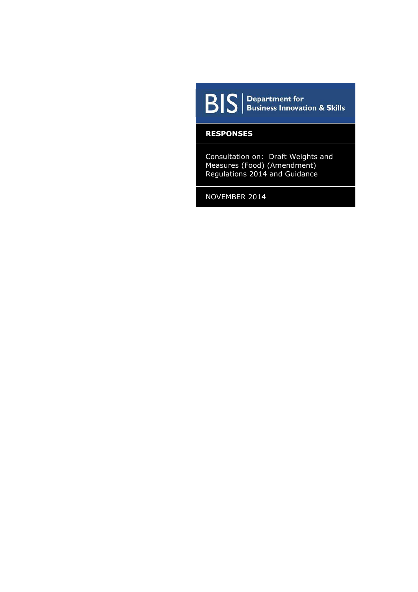

 $\boxed{\mathbf{B}|\mathbf{S}|}$  Pepartment for<br>Business Innovation & Skills

#### **RESPONSES**

Consultation on: Draft Weights and Measures (Food) (Amendment) Regulations 2014 and Guidance

NOVEMBER 2014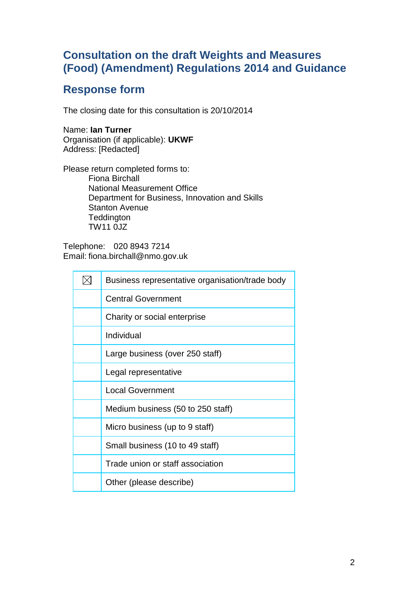# **Response form**

The closing date for this consultation is 20/10/2014

Name: **Ian Turner** Organisation (if applicable): **UKWF** Address: [Redacted]

Please return completed forms to: Fiona Birchall National Measurement Office Department for Business, Innovation and Skills Stanton Avenue **Teddington** TW11 0JZ

Telephone: 020 8943 7214 Email: fiona.birchall@nmo.gov.uk

| Business representative organisation/trade body |
|-------------------------------------------------|
| <b>Central Government</b>                       |
| Charity or social enterprise                    |
| Individual                                      |
| Large business (over 250 staff)                 |
| Legal representative                            |
| <b>Local Government</b>                         |
| Medium business (50 to 250 staff)               |
| Micro business (up to 9 staff)                  |
| Small business (10 to 49 staff)                 |
| Trade union or staff association                |
| Other (please describe)                         |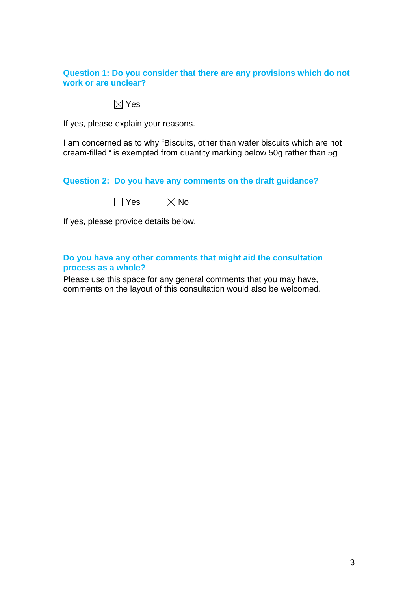### **Question 1: Do you consider that there are any provisions which do not work or are unclear?**

# $\boxtimes$  Yes

If yes, please explain your reasons.

I am concerned as to why "Biscuits, other than wafer biscuits which are not cream-filled " is exempted from quantity marking below 50g rather than 5g

# **Question 2: Do you have any comments on the draft guidance?**

| Yes | $\boxtimes$ No |
|-----|----------------|
|-----|----------------|

If yes, please provide details below.

### **Do you have any other comments that might aid the consultation process as a whole?**

Please use this space for any general comments that you may have, comments on the layout of this consultation would also be welcomed.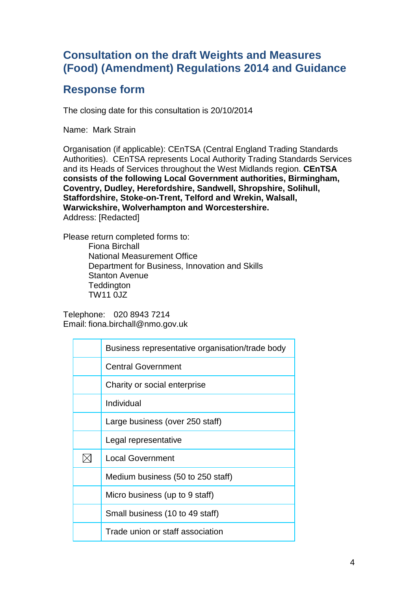# **Response form**

The closing date for this consultation is 20/10/2014

Name: Mark Strain

Organisation (if applicable): CEnTSA (Central England Trading Standards Authorities). CEnTSA represents Local Authority Trading Standards Services and its Heads of Services throughout the West Midlands region. **CEnTSA consists of the following Local Government authorities, Birmingham, Coventry, Dudley, Herefordshire, Sandwell, Shropshire, Solihull, Staffordshire, Stoke-on-Trent, Telford and Wrekin, Walsall, Warwickshire, Wolverhampton and Worcestershire.** Address: [Redacted]

Please return completed forms to:

Fiona Birchall National Measurement Office Department for Business, Innovation and Skills Stanton Avenue **Teddington** TW11 0JZ

Telephone: 020 8943 7214 Email: fiona.birchall@nmo.gov.uk

| Business representative organisation/trade body |
|-------------------------------------------------|
| <b>Central Government</b>                       |
| Charity or social enterprise                    |
| Individual                                      |
| Large business (over 250 staff)                 |
| Legal representative                            |
| <b>Local Government</b>                         |
| Medium business (50 to 250 staff)               |
| Micro business (up to 9 staff)                  |
| Small business (10 to 49 staff)                 |
| Trade union or staff association                |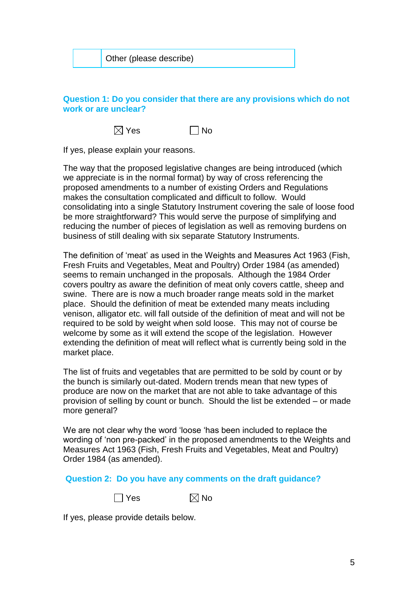|  | Other (please describe) |
|--|-------------------------|
|--|-------------------------|

# **Question 1: Do you consider that there are any provisions which do not work or are unclear?**

 $\boxtimes$  Yes  $\Box$  No

If yes, please explain your reasons.

The way that the proposed legislative changes are being introduced (which we appreciate is in the normal format) by way of cross referencing the proposed amendments to a number of existing Orders and Regulations makes the consultation complicated and difficult to follow. Would consolidating into a single Statutory Instrument covering the sale of loose food be more straightforward? This would serve the purpose of simplifying and reducing the number of pieces of legislation as well as removing burdens on business of still dealing with six separate Statutory Instruments.

The definition of 'meat' as used in the Weights and Measures Act 1963 (Fish, Fresh Fruits and Vegetables, Meat and Poultry) Order 1984 (as amended) seems to remain unchanged in the proposals. Although the 1984 Order covers poultry as aware the definition of meat only covers cattle, sheep and swine. There are is now a much broader range meats sold in the market place. Should the definition of meat be extended many meats including venison, alligator etc. will fall outside of the definition of meat and will not be required to be sold by weight when sold loose. This may not of course be welcome by some as it will extend the scope of the legislation. However extending the definition of meat will reflect what is currently being sold in the market place.

The list of fruits and vegetables that are permitted to be sold by count or by the bunch is similarly out-dated. Modern trends mean that new types of produce are now on the market that are not able to take advantage of this provision of selling by count or bunch. Should the list be extended – or made more general?

We are not clear why the word 'loose 'has been included to replace the wording of 'non pre-packed' in the proposed amendments to the Weights and Measures Act 1963 (Fish, Fresh Fruits and Vegetables, Meat and Poultry) Order 1984 (as amended).

### **Question 2: Do you have any comments on the draft guidance?**

 $\boxtimes$  No

If yes, please provide details below.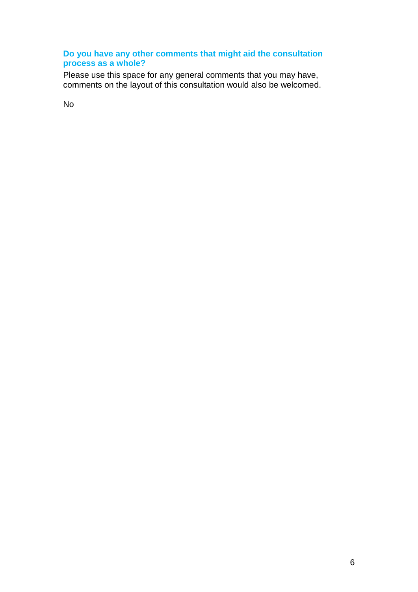# **Do you have any other comments that might aid the consultation process as a whole?**

Please use this space for any general comments that you may have, comments on the layout of this consultation would also be welcomed.

No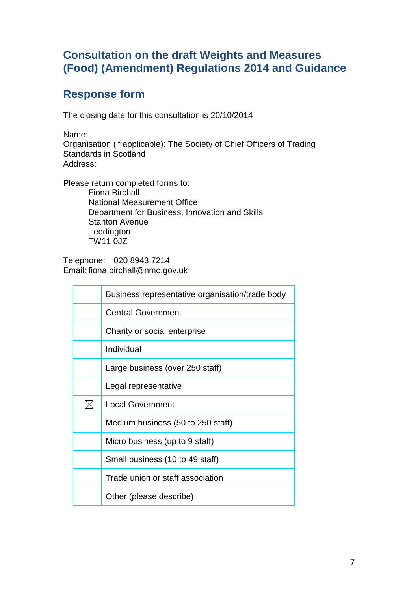# **Response form**

The closing date for this consultation is 20/10/2014

Name:

Organisation (if applicable): The Society of Chief Officers of Trading Standards in Scotland Address:

Please return completed forms to: Fiona Birchall National Measurement Office Department for Business, Innovation and Skills Stanton Avenue **Teddington** TW11 0JZ

Telephone: 020 8943 7214 Email: fiona.birchall@nmo.gov.uk

| Business representative organisation/trade body |
|-------------------------------------------------|
| <b>Central Government</b>                       |
| Charity or social enterprise                    |
| Individual                                      |
| Large business (over 250 staff)                 |
| Legal representative                            |
| <b>Local Government</b>                         |
| Medium business (50 to 250 staff)               |
| Micro business (up to 9 staff)                  |
| Small business (10 to 49 staff)                 |
| Trade union or staff association                |
| Other (please describe)                         |
|                                                 |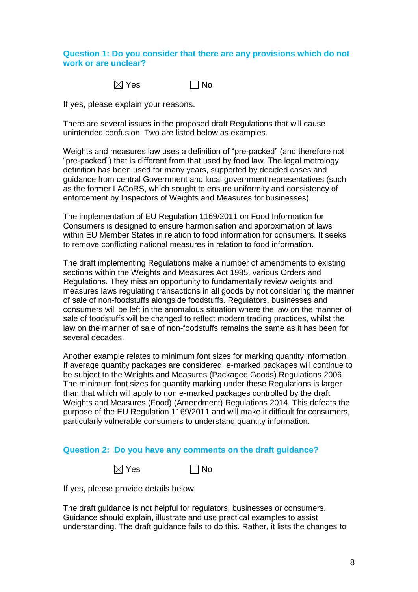### **Question 1: Do you consider that there are any provisions which do not work or are unclear?**



If yes, please explain your reasons.

There are several issues in the proposed draft Regulations that will cause unintended confusion. Two are listed below as examples.

Weights and measures law uses a definition of "pre-packed" (and therefore not "pre-packed") that is different from that used by food law. The legal metrology definition has been used for many years, supported by decided cases and guidance from central Government and local government representatives (such as the former LACoRS, which sought to ensure uniformity and consistency of enforcement by Inspectors of Weights and Measures for businesses).

The implementation of EU Regulation 1169/2011 on Food Information for Consumers is designed to ensure harmonisation and approximation of laws within EU Member States in relation to food information for consumers. It seeks to remove conflicting national measures in relation to food information.

The draft implementing Regulations make a number of amendments to existing sections within the Weights and Measures Act 1985, various Orders and Regulations. They miss an opportunity to fundamentally review weights and measures laws regulating transactions in all goods by not considering the manner of sale of non-foodstuffs alongside foodstuffs. Regulators, businesses and consumers will be left in the anomalous situation where the law on the manner of sale of foodstuffs will be changed to reflect modern trading practices, whilst the law on the manner of sale of non-foodstuffs remains the same as it has been for several decades.

Another example relates to minimum font sizes for marking quantity information. If average quantity packages are considered, e-marked packages will continue to be subject to the Weights and Measures (Packaged Goods) Regulations 2006. The minimum font sizes for quantity marking under these Regulations is larger than that which will apply to non e-marked packages controlled by the draft Weights and Measures (Food) (Amendment) Regulations 2014. This defeats the purpose of the EU Regulation 1169/2011 and will make it difficult for consumers, particularly vulnerable consumers to understand quantity information.

### **Question 2: Do you have any comments on the draft guidance?**



If yes, please provide details below.

The draft guidance is not helpful for regulators, businesses or consumers. Guidance should explain, illustrate and use practical examples to assist understanding. The draft guidance fails to do this. Rather, it lists the changes to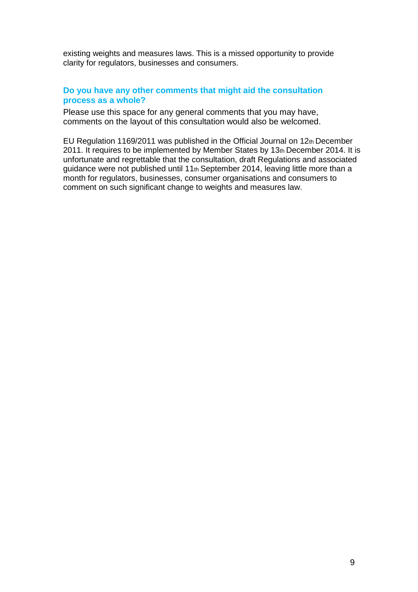existing weights and measures laws. This is a missed opportunity to provide clarity for regulators, businesses and consumers.

### **Do you have any other comments that might aid the consultation process as a whole?**

Please use this space for any general comments that you may have, comments on the layout of this consultation would also be welcomed.

EU Regulation 1169/2011 was published in the Official Journal on 12th December 2011. It requires to be implemented by Member States by 13th December 2014. It is unfortunate and regrettable that the consultation, draft Regulations and associated guidance were not published until 11th September 2014, leaving little more than a month for regulators, businesses, consumer organisations and consumers to comment on such significant change to weights and measures law.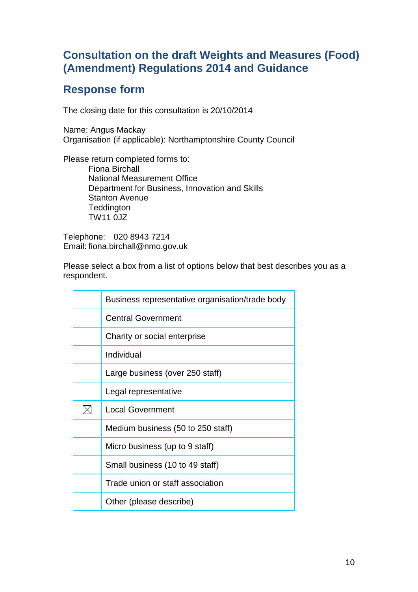# **Response form**

The closing date for this consultation is 20/10/2014

Name: Angus Mackay Organisation (if applicable): Northamptonshire County Council

Please return completed forms to: Fiona Birchall National Measurement Office Department for Business, Innovation and Skills Stanton Avenue **Teddington** TW11 0JZ

Telephone: 020 8943 7214 Email: fiona.birchall@nmo.gov.uk

Please select a box from a list of options below that best describes you as a respondent.

| Business representative organisation/trade body |
|-------------------------------------------------|
| <b>Central Government</b>                       |
| Charity or social enterprise                    |
| Individual                                      |
| Large business (over 250 staff)                 |
| Legal representative                            |
| <b>Local Government</b>                         |
| Medium business (50 to 250 staff)               |
| Micro business (up to 9 staff)                  |
| Small business (10 to 49 staff)                 |
| Trade union or staff association                |
| Other (please describe)                         |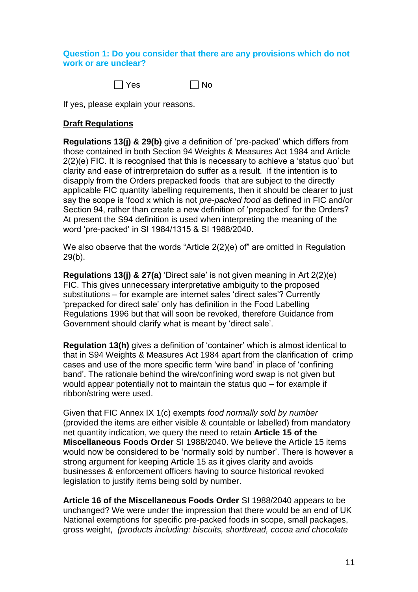# **Question 1: Do you consider that there are any provisions which do not work or are unclear?**



If yes, please explain your reasons.

# **Draft Regulations**

**Regulations 13(j) & 29(b)** give a definition of 'pre-packed' which differs from those contained in both Section 94 Weights & Measures Act 1984 and Article 2(2)(e) FIC. It is recognised that this is necessary to achieve a 'status quo' but clarity and ease of intrerpretaion do suffer as a result. If the intention is to disapply from the Orders prepacked foods that are subject to the directly applicable FIC quantity labelling requirements, then it should be clearer to just say the scope is 'food x which is not *pre-packed food* as defined in FIC and/or Section 94, rather than create a new definition of 'prepacked' for the Orders? At present the S94 definition is used when interpreting the meaning of the word 'pre-packed' in SI 1984/1315 & SI 1988/2040.

We also observe that the words "Article 2(2)(e) of" are omitted in Regulation 29(b).

**Regulations 13(j) & 27(a)** 'Direct sale' is not given meaning in Art 2(2)(e) FIC. This gives unnecessary interpretative ambiguity to the proposed substitutions – for example are internet sales 'direct sales'? Currently 'prepacked for direct sale' only has definition in the Food Labelling Regulations 1996 but that will soon be revoked, therefore Guidance from Government should clarify what is meant by 'direct sale'.

**Regulation 13(h)** gives a definition of 'container' which is almost identical to that in S94 Weights & Measures Act 1984 apart from the clarification of crimp cases and use of the more specific term 'wire band' in place of 'confining band'. The rationale behind the wire/confining word swap is not given but would appear potentially not to maintain the status quo – for example if ribbon/string were used.

Given that FIC Annex IX 1(c) exempts *food normally sold by number* (provided the items are either visible & countable or labelled) from mandatory net quantity indication, we query the need to retain **Article 15 of the Miscellaneous Foods Order** SI 1988/2040. We believe the Article 15 items would now be considered to be 'normally sold by number'. There is however a strong argument for keeping Article 15 as it gives clarity and avoids businesses & enforcement officers having to source historical revoked legislation to justify items being sold by number.

**Article 16 of the Miscellaneous Foods Order** SI 1988/2040 appears to be unchanged? We were under the impression that there would be an end of UK National exemptions for specific pre-packed foods in scope, small packages, gross weight, *(products including: biscuits, shortbread, cocoa and chocolate*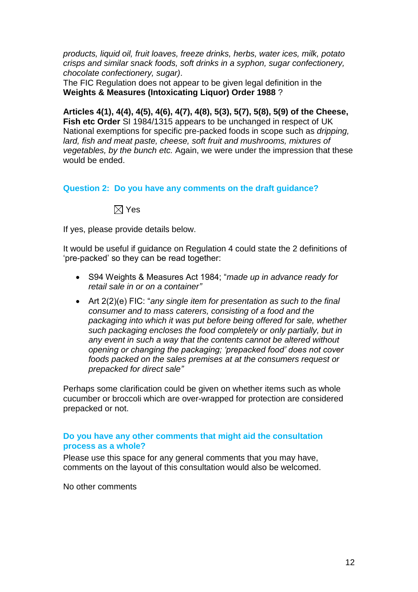*products, liquid oil, fruit loaves, freeze drinks, herbs, water ices, milk, potato crisps and similar snack foods, soft drinks in a syphon, sugar confectionery, chocolate confectionery, sugar)*.

The FIC Regulation does not appear to be given legal definition in the **Weights & Measures (Intoxicating Liquor) Order 1988** ?

**Articles 4(1), 4(4), 4(5), 4(6), 4(7), 4(8), 5(3), 5(7), 5(8), 5(9) of the Cheese, Fish etc Order** SI 1984/1315 appears to be unchanged in respect of UK National exemptions for specific pre-packed foods in scope such as *dripping, lard, fish and meat paste, cheese, soft fruit and mushrooms, mixtures of vegetables, by the bunch etc.* Again, we were under the impression that these would be ended.

**Question 2: Do you have any comments on the draft guidance?**

 $\boxtimes$  Yes

If yes, please provide details below.

It would be useful if guidance on Regulation 4 could state the 2 definitions of 'pre-packed' so they can be read together:

- S94 Weights & Measures Act 1984; "*made up in advance ready for retail sale in or on a container"*
- Art 2(2)(e) FIC: "*any single item for presentation as such to the final consumer and to mass caterers, consisting of a food and the packaging into which it was put before being offered for sale, whether such packaging encloses the food completely or only partially, but in any event in such a way that the contents cannot be altered without opening or changing the packaging; 'prepacked food' does not cover foods packed on the sales premises at at the consumers request or prepacked for direct sale"*

Perhaps some clarification could be given on whether items such as whole cucumber or broccoli which are over-wrapped for protection are considered prepacked or not.

### **Do you have any other comments that might aid the consultation process as a whole?**

Please use this space for any general comments that you may have, comments on the layout of this consultation would also be welcomed.

No other comments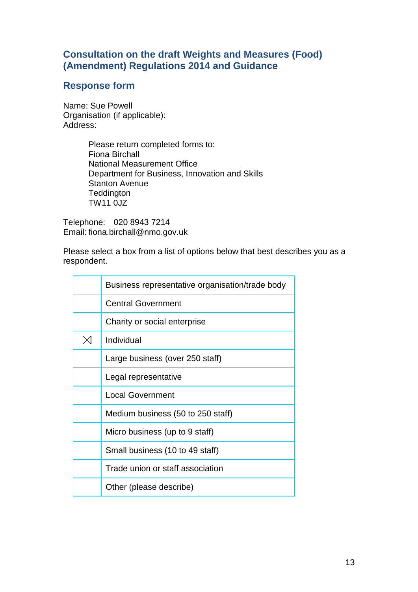# **Response form**

Name: Sue Powell Organisation (if applicable): Address:

> Please return completed forms to: Fiona Birchall National Measurement Office Department for Business, Innovation and Skills Stanton Avenue **Teddington** TW11 0JZ

Telephone: 020 8943 7214 Email: fiona.birchall@nmo.gov.uk

Please select a box from a list of options below that best describes you as a respondent.

| Business representative organisation/trade body |
|-------------------------------------------------|
| <b>Central Government</b>                       |
| Charity or social enterprise                    |
| Individual                                      |
| Large business (over 250 staff)                 |
| Legal representative                            |
| <b>Local Government</b>                         |
| Medium business (50 to 250 staff)               |
| Micro business (up to 9 staff)                  |
| Small business (10 to 49 staff)                 |
| Trade union or staff association                |
| Other (please describe)                         |
|                                                 |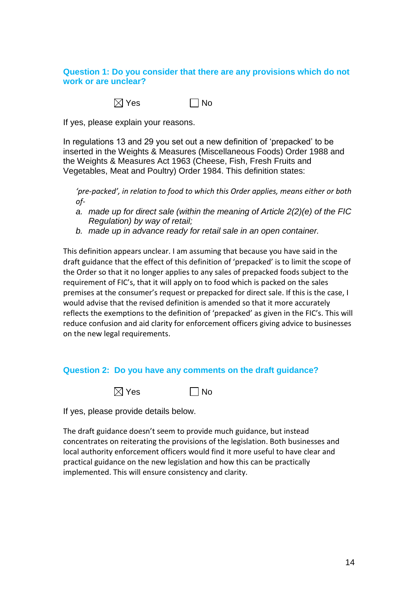### **Question 1: Do you consider that there are any provisions which do not work or are unclear?**

 $\boxtimes$  Yes  $\Box$  No

If yes, please explain your reasons.

In regulations 13 and 29 you set out a new definition of 'prepacked' to be inserted in the Weights & Measures (Miscellaneous Foods) Order 1988 and the Weights & Measures Act 1963 (Cheese, Fish, Fresh Fruits and Vegetables, Meat and Poultry) Order 1984. This definition states:

*'pre-packed', in relation to food to which this Order applies, means either or both of-*

- *a. made up for direct sale (within the meaning of Article 2(2)(e) of the FIC Regulation) by way of retail;*
- *b. made up in advance ready for retail sale in an open container.*

This definition appears unclear. I am assuming that because you have said in the draft guidance that the effect of this definition of 'prepacked' is to limit the scope of the Order so that it no longer applies to any sales of prepacked foods subject to the requirement of FIC's, that it will apply on to food which is packed on the sales premises at the consumer's request or prepacked for direct sale. If this is the case, I would advise that the revised definition is amended so that it more accurately reflects the exemptions to the definition of 'prepacked' as given in the FIC's. This will reduce confusion and aid clarity for enforcement officers giving advice to businesses on the new legal requirements.

### **Question 2: Do you have any comments on the draft guidance?**



If yes, please provide details below.

The draft guidance doesn't seem to provide much guidance, but instead concentrates on reiterating the provisions of the legislation. Both businesses and local authority enforcement officers would find it more useful to have clear and practical guidance on the new legislation and how this can be practically implemented. This will ensure consistency and clarity.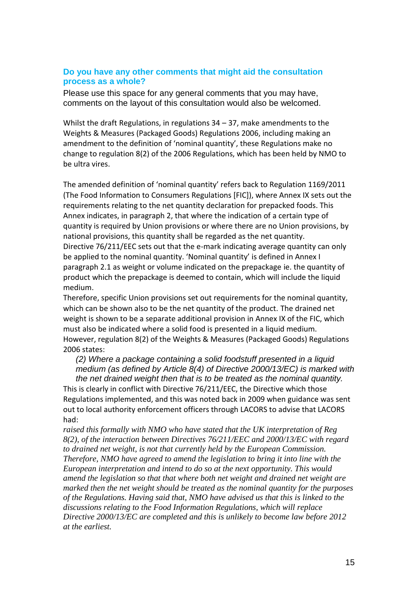### **Do you have any other comments that might aid the consultation process as a whole?**

Please use this space for any general comments that you may have, comments on the layout of this consultation would also be welcomed.

Whilst the draft Regulations, in regulations 34 – 37, make amendments to the Weights & Measures (Packaged Goods) Regulations 2006, including making an amendment to the definition of 'nominal quantity', these Regulations make no change to regulation 8(2) of the 2006 Regulations, which has been held by NMO to be ultra vires.

The amended definition of 'nominal quantity' refers back to Regulation 1169/2011 (The Food Information to Consumers Regulations [FIC]), where Annex IX sets out the requirements relating to the net quantity declaration for prepacked foods. This Annex indicates, in paragraph 2, that where the indication of a certain type of quantity is required by Union provisions or where there are no Union provisions, by national provisions, this quantity shall be regarded as the net quantity. Directive 76/211/EEC sets out that the e-mark indicating average quantity can only be applied to the nominal quantity. 'Nominal quantity' is defined in Annex I paragraph 2.1 as weight or volume indicated on the prepackage ie. the quantity of product which the prepackage is deemed to contain, which will include the liquid medium.

Therefore, specific Union provisions set out requirements for the nominal quantity, which can be shown also to be the net quantity of the product. The drained net weight is shown to be a separate additional provision in Annex IX of the FIC, which must also be indicated where a solid food is presented in a liquid medium. However, regulation 8(2) of the Weights & Measures (Packaged Goods) Regulations 2006 states:

*(2) Where a package containing a solid foodstuff presented in a liquid medium (as defined by Article 8(4) of Directive 2000/13/EC) is marked with the net drained weight then that is to be treated as the nominal quantity.*

This is clearly in conflict with Directive 76/211/EEC, the Directive which those Regulations implemented, and this was noted back in 2009 when guidance was sent out to local authority enforcement officers through LACORS to advise that LACORS had:

*raised this formally with NMO who have stated that the UK interpretation of Reg 8(2), of the interaction between Directives 76/211/EEC and 2000/13/EC with regard to drained net weight, is not that currently held by the European Commission. Therefore, NMO have agreed to amend the legislation to bring it into line with the European interpretation and intend to do so at the next opportunity. This would amend the legislation so that that where both net weight and drained net weight are marked then the net weight should be treated as the nominal quantity for the purposes of the Regulations. Having said that, NMO have advised us that this is linked to the discussions relating to the Food Information Regulations, which will replace Directive 2000/13/EC are completed and this is unlikely to become law before 2012 at the earliest.*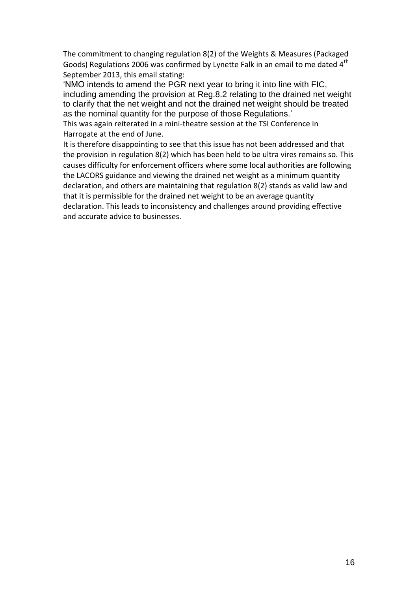The commitment to changing regulation 8(2) of the Weights & Measures (Packaged Goods) Regulations 2006 was confirmed by Lynette Falk in an email to me dated  $4<sup>th</sup>$ September 2013, this email stating:

'NMO intends to amend the PGR next year to bring it into line with FIC, including amending the provision at Reg.8.2 relating to the drained net weight to clarify that the net weight and not the drained net weight should be treated as the nominal quantity for the purpose of those Regulations.'

This was again reiterated in a mini-theatre session at the TSI Conference in Harrogate at the end of June.

It is therefore disappointing to see that this issue has not been addressed and that the provision in regulation 8(2) which has been held to be ultra vires remains so. This causes difficulty for enforcement officers where some local authorities are following the LACORS guidance and viewing the drained net weight as a minimum quantity declaration, and others are maintaining that regulation 8(2) stands as valid law and that it is permissible for the drained net weight to be an average quantity declaration. This leads to inconsistency and challenges around providing effective and accurate advice to businesses.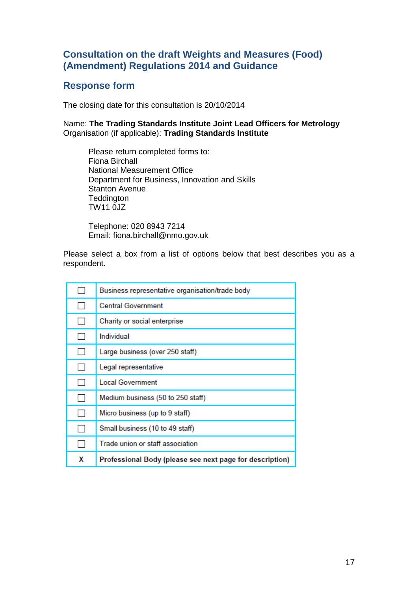# **Response form**

The closing date for this consultation is 20/10/2014

Name: **The Trading Standards Institute Joint Lead Officers for Metrology**  Organisation (if applicable): **Trading Standards Institute** 

Please return completed forms to: Fiona Birchall National Measurement Office Department for Business, Innovation and Skills Stanton Avenue **Teddington** TW11 0JZ

Telephone: 020 8943 7214 Email: fiona.birchall@nmo.gov.uk

Please select a box from a list of options below that best describes you as a respondent.

|                          | Business representative organisation/trade body          |
|--------------------------|----------------------------------------------------------|
|                          | <b>Central Government</b>                                |
| H                        | Charity or social enterprise                             |
| $\overline{\phantom{0}}$ | Individual                                               |
| $\overline{\phantom{0}}$ | Large business (over 250 staff)                          |
|                          | Legal representative                                     |
|                          | <b>Local Government</b>                                  |
|                          | Medium business (50 to 250 staff)                        |
| $\mathbf{L}$             | Micro business (up to 9 staff)                           |
|                          | Small business (10 to 49 staff)                          |
|                          | Trade union or staff association                         |
| X                        | Professional Body (please see next page for description) |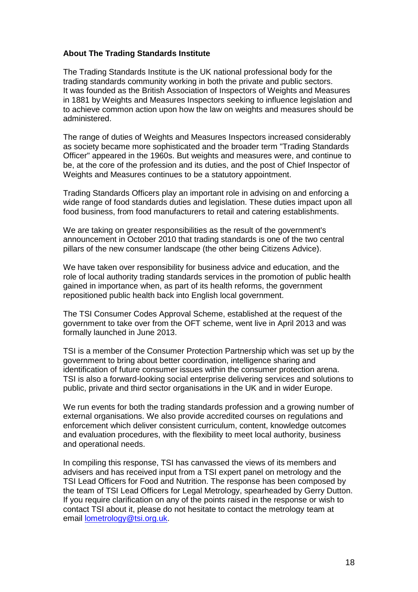### **About The Trading Standards Institute**

The Trading Standards Institute is the UK national professional body for the trading standards community working in both the private and public sectors. It was founded as the British Association of Inspectors of Weights and Measures in 1881 by Weights and Measures Inspectors seeking to influence legislation and to achieve common action upon how the law on weights and measures should be administered.

The range of duties of Weights and Measures Inspectors increased considerably as society became more sophisticated and the broader term "Trading Standards Officer" appeared in the 1960s. But weights and measures were, and continue to be, at the core of the profession and its duties, and the post of Chief Inspector of Weights and Measures continues to be a statutory appointment.

Trading Standards Officers play an important role in advising on and enforcing a wide range of food standards duties and legislation. These duties impact upon all food business, from food manufacturers to retail and catering establishments.

We are taking on greater responsibilities as the result of the government's announcement in October 2010 that trading standards is one of the two central pillars of the new consumer landscape (the other being Citizens Advice).

We have taken over responsibility for business advice and education, and the role of local authority trading standards services in the promotion of public health gained in importance when, as part of its health reforms, the government repositioned public health back into English local government.

The TSI Consumer Codes Approval Scheme, established at the request of the government to take over from the OFT scheme, went live in April 2013 and was formally launched in June 2013.

TSI is a member of the Consumer Protection Partnership which was set up by the government to bring about better coordination, intelligence sharing and identification of future consumer issues within the consumer protection arena. TSI is also a forward-looking social enterprise delivering services and solutions to public, private and third sector organisations in the UK and in wider Europe.

We run events for both the trading standards profession and a growing number of external organisations. We also provide accredited courses on regulations and enforcement which deliver consistent curriculum, content, knowledge outcomes and evaluation procedures, with the flexibility to meet local authority, business and operational needs.

In compiling this response, TSI has canvassed the views of its members and advisers and has received input from a TSI expert panel on metrology and the TSI Lead Officers for Food and Nutrition. The response has been composed by the team of TSI Lead Officers for Legal Metrology, spearheaded by Gerry Dutton. If you require clarification on any of the points raised in the response or wish to contact TSI about it, please do not hesitate to contact the metrology team at email [lometrology@tsi.org.uk.](mailto:lometrology@tsi.org.uk)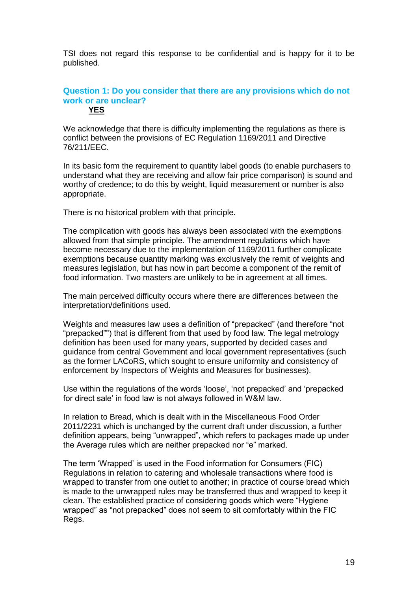TSI does not regard this response to be confidential and is happy for it to be published.

#### **Question 1: Do you consider that there are any provisions which do not work or are unclear? YES**

We acknowledge that there is difficulty implementing the regulations as there is conflict between the provisions of EC Regulation 1169/2011 and Directive 76/211/EEC.

In its basic form the requirement to quantity label goods (to enable purchasers to understand what they are receiving and allow fair price comparison) is sound and worthy of credence; to do this by weight, liquid measurement or number is also appropriate.

There is no historical problem with that principle.

The complication with goods has always been associated with the exemptions allowed from that simple principle. The amendment regulations which have become necessary due to the implementation of 1169/2011 further complicate exemptions because quantity marking was exclusively the remit of weights and measures legislation, but has now in part become a component of the remit of food information. Two masters are unlikely to be in agreement at all times.

The main perceived difficulty occurs where there are differences between the interpretation/definitions used.

Weights and measures law uses a definition of "prepacked" (and therefore "not "prepacked"") that is different from that used by food law. The legal metrology definition has been used for many years, supported by decided cases and guidance from central Government and local government representatives (such as the former LACoRS, which sought to ensure uniformity and consistency of enforcement by Inspectors of Weights and Measures for businesses).

Use within the regulations of the words 'loose', 'not prepacked' and 'prepacked for direct sale' in food law is not always followed in W&M law.

In relation to Bread, which is dealt with in the Miscellaneous Food Order 2011/2231 which is unchanged by the current draft under discussion, a further definition appears, being "unwrapped", which refers to packages made up under the Average rules which are neither prepacked nor "e" marked.

The term 'Wrapped' is used in the Food information for Consumers (FIC) Regulations in relation to catering and wholesale transactions where food is wrapped to transfer from one outlet to another; in practice of course bread which is made to the unwrapped rules may be transferred thus and wrapped to keep it clean. The established practice of considering goods which were "Hygiene wrapped" as "not prepacked" does not seem to sit comfortably within the FIC Regs.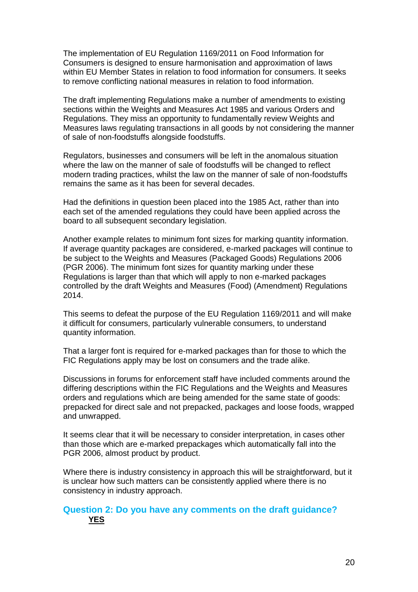The implementation of EU Regulation 1169/2011 on Food Information for Consumers is designed to ensure harmonisation and approximation of laws within EU Member States in relation to food information for consumers. It seeks to remove conflicting national measures in relation to food information.

The draft implementing Regulations make a number of amendments to existing sections within the Weights and Measures Act 1985 and various Orders and Regulations. They miss an opportunity to fundamentally review Weights and Measures laws regulating transactions in all goods by not considering the manner of sale of non-foodstuffs alongside foodstuffs.

Regulators, businesses and consumers will be left in the anomalous situation where the law on the manner of sale of foodstuffs will be changed to reflect modern trading practices, whilst the law on the manner of sale of non-foodstuffs remains the same as it has been for several decades.

Had the definitions in question been placed into the 1985 Act, rather than into each set of the amended regulations they could have been applied across the board to all subsequent secondary legislation.

Another example relates to minimum font sizes for marking quantity information. If average quantity packages are considered, e-marked packages will continue to be subject to the Weights and Measures (Packaged Goods) Regulations 2006 (PGR 2006). The minimum font sizes for quantity marking under these Regulations is larger than that which will apply to non e-marked packages controlled by the draft Weights and Measures (Food) (Amendment) Regulations 2014.

This seems to defeat the purpose of the EU Regulation 1169/2011 and will make it difficult for consumers, particularly vulnerable consumers, to understand quantity information.

That a larger font is required for e-marked packages than for those to which the FIC Regulations apply may be lost on consumers and the trade alike.

Discussions in forums for enforcement staff have included comments around the differing descriptions within the FIC Regulations and the Weights and Measures orders and regulations which are being amended for the same state of goods: prepacked for direct sale and not prepacked, packages and loose foods, wrapped and unwrapped.

It seems clear that it will be necessary to consider interpretation, in cases other than those which are e-marked prepackages which automatically fall into the PGR 2006, almost product by product.

Where there is industry consistency in approach this will be straightforward, but it is unclear how such matters can be consistently applied where there is no consistency in industry approach.

# **Question 2: Do you have any comments on the draft guidance? YES**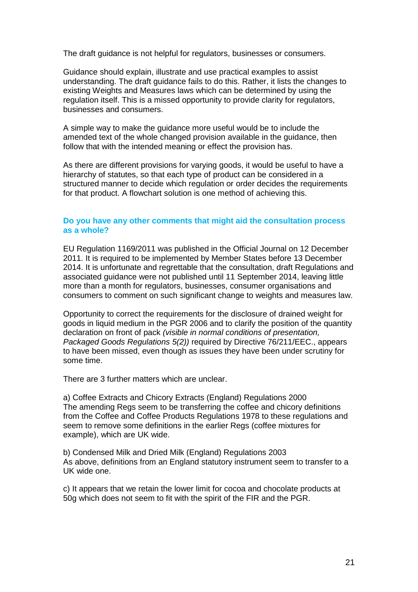The draft guidance is not helpful for regulators, businesses or consumers.

Guidance should explain, illustrate and use practical examples to assist understanding. The draft guidance fails to do this. Rather, it lists the changes to existing Weights and Measures laws which can be determined by using the regulation itself. This is a missed opportunity to provide clarity for regulators, businesses and consumers.

A simple way to make the guidance more useful would be to include the amended text of the whole changed provision available in the guidance, then follow that with the intended meaning or effect the provision has.

As there are different provisions for varying goods, it would be useful to have a hierarchy of statutes, so that each type of product can be considered in a structured manner to decide which regulation or order decides the requirements for that product. A flowchart solution is one method of achieving this.

### **Do you have any other comments that might aid the consultation process as a whole?**

EU Regulation 1169/2011 was published in the Official Journal on 12 December 2011. It is required to be implemented by Member States before 13 December 2014. It is unfortunate and regrettable that the consultation, draft Regulations and associated guidance were not published until 11 September 2014, leaving little more than a month for regulators, businesses, consumer organisations and consumers to comment on such significant change to weights and measures law.

Opportunity to correct the requirements for the disclosure of drained weight for goods in liquid medium in the PGR 2006 and to clarify the position of the quantity declaration on front of pack *(visible in normal conditions of presentation, Packaged Goods Regulations 5(2))* required by Directive 76/211/EEC., appears to have been missed, even though as issues they have been under scrutiny for some time.

There are 3 further matters which are unclear.

a) Coffee Extracts and Chicory Extracts (England) Regulations 2000 The amending Regs seem to be transferring the coffee and chicory definitions from the Coffee and Coffee Products Regulations 1978 to these regulations and seem to remove some definitions in the earlier Regs (coffee mixtures for example), which are UK wide.

b) Condensed Milk and Dried Milk (England) Regulations 2003 As above, definitions from an England statutory instrument seem to transfer to a UK wide one.

c) It appears that we retain the lower limit for cocoa and chocolate products at 50g which does not seem to fit with the spirit of the FIR and the PGR.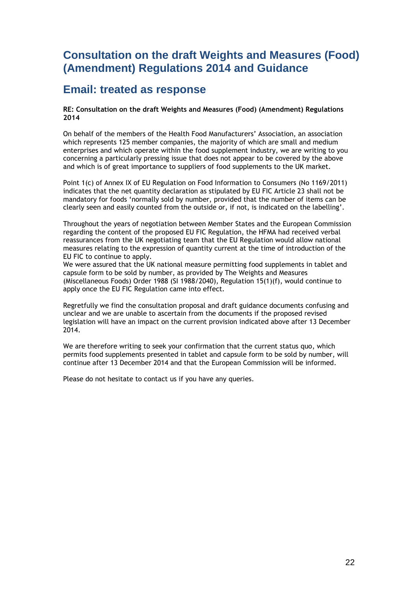# **Email: treated as response**

#### **RE: Consultation on the draft Weights and Measures (Food) (Amendment) Regulations 2014**

On behalf of the members of the Health Food Manufacturers' Association, an association which represents 125 member companies, the majority of which are small and medium enterprises and which operate within the food supplement industry, we are writing to you concerning a particularly pressing issue that does not appear to be covered by the above and which is of great importance to suppliers of food supplements to the UK market.

Point 1(c) of Annex IX of EU Regulation on Food Information to Consumers (No 1169/2011) indicates that the net quantity declaration as stipulated by EU FIC Article 23 shall not be mandatory for foods 'normally sold by number, provided that the number of items can be clearly seen and easily counted from the outside or, if not, is indicated on the labelling'.

Throughout the years of negotiation between Member States and the European Commission regarding the content of the proposed EU FIC Regulation, the HFMA had received verbal reassurances from the UK negotiating team that the EU Regulation would allow national measures relating to the expression of quantity current at the time of introduction of the EU FIC to continue to apply.

We were assured that the UK national measure permitting food supplements in tablet and capsule form to be sold by number, as provided by The Weights and Measures (Miscellaneous Foods) Order 1988 (SI 1988/2040), Regulation 15(1)(f), would continue to apply once the EU FIC Regulation came into effect.

Regretfully we find the consultation proposal and draft guidance documents confusing and unclear and we are unable to ascertain from the documents if the proposed revised legislation will have an impact on the current provision indicated above after 13 December 2014.

We are therefore writing to seek your confirmation that the current status quo, which permits food supplements presented in tablet and capsule form to be sold by number, will continue after 13 December 2014 and that the European Commission will be informed.

Please do not hesitate to contact us if you have any queries.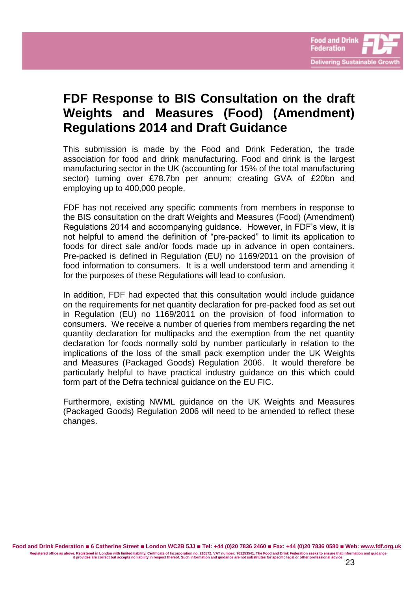

# **FDF Response to BIS Consultation on the draft Weights and Measures (Food) (Amendment) Regulations 2014 and Draft Guidance**

This submission is made by the Food and Drink Federation, the trade association for food and drink manufacturing. Food and drink is the largest manufacturing sector in the UK (accounting for 15% of the total manufacturing sector) turning over £78.7bn per annum; creating GVA of £20bn and employing up to 400,000 people.

FDF has not received any specific comments from members in response to the BIS consultation on the draft Weights and Measures (Food) (Amendment) Regulations 2014 and accompanying guidance. However, in FDF's view, it is not helpful to amend the definition of "pre-packed" to limit its application to foods for direct sale and/or foods made up in advance in open containers. Pre-packed is defined in Regulation (EU) no 1169/2011 on the provision of food information to consumers. It is a well understood term and amending it for the purposes of these Regulations will lead to confusion.

In addition, FDF had expected that this consultation would include guidance on the requirements for net quantity declaration for pre-packed food as set out in Regulation (EU) no 1169/2011 on the provision of food information to consumers. We receive a number of queries from members regarding the net quantity declaration for multipacks and the exemption from the net quantity declaration for foods normally sold by number particularly in relation to the implications of the loss of the small pack exemption under the UK Weights and Measures (Packaged Goods) Regulation 2006. It would therefore be particularly helpful to have practical industry guidance on this which could form part of the Defra technical guidance on the EU FIC.

Furthermore, existing NWML guidance on the UK Weights and Measures (Packaged Goods) Regulation 2006 will need to be amended to reflect these changes.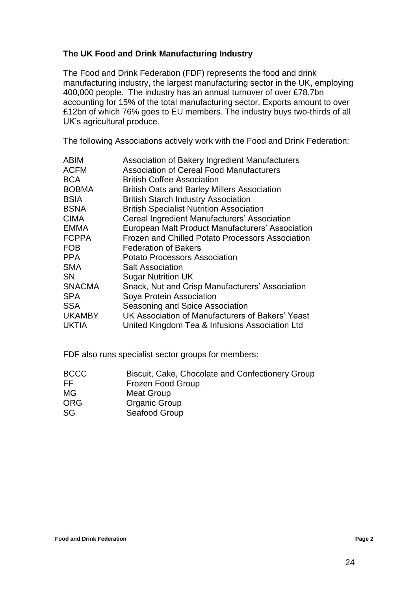## **The UK Food and Drink Manufacturing Industry**

The Food and Drink Federation (FDF) represents the food and drink manufacturing industry, the largest manufacturing sector in the UK, employing 400,000 people. The industry has an annual turnover of over £78.7bn accounting for 15% of the total manufacturing sector. Exports amount to over £12bn of which 76% goes to EU members. The industry buys two-thirds of all UK's agricultural produce.

The following Associations actively work with the Food and Drink Federation:

| Association of Bakery Ingredient Manufacturers          |
|---------------------------------------------------------|
| <b>Association of Cereal Food Manufacturers</b>         |
| <b>British Coffee Association</b>                       |
| <b>British Oats and Barley Millers Association</b>      |
| <b>British Starch Industry Association</b>              |
| <b>British Specialist Nutrition Association</b>         |
| Cereal Ingredient Manufacturers' Association            |
| European Malt Product Manufacturers' Association        |
| <b>Frozen and Chilled Potato Processors Association</b> |
| <b>Federation of Bakers</b>                             |
| <b>Potato Processors Association</b>                    |
| <b>Salt Association</b>                                 |
| <b>Sugar Nutrition UK</b>                               |
| Snack, Nut and Crisp Manufacturers' Association         |
| Soya Protein Association                                |
| Seasoning and Spice Association                         |
| UK Association of Manufacturers of Bakers' Yeast        |
| United Kingdom Tea & Infusions Association Ltd          |
|                                                         |

FDF also runs specialist sector groups for members:

| BCCC | Biscuit, Cake, Chocolate and Confectionery Group |
|------|--------------------------------------------------|
| FF   | Frozen Food Group                                |
| MG   | Meat Group                                       |
| ORG  | <b>Organic Group</b>                             |
| SG   | Seafood Group                                    |
|      |                                                  |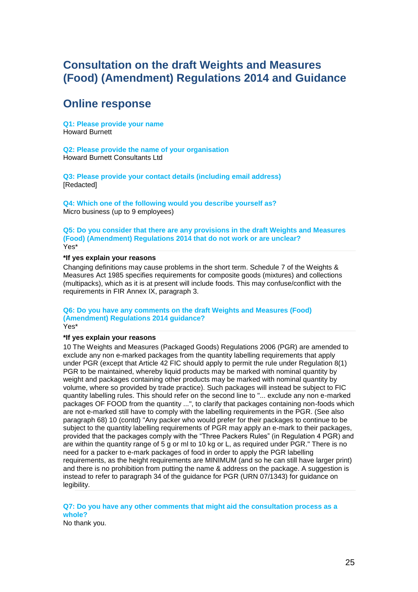# **Online response**

**Q1: Please provide your name** Howard Burnett

**Q2: Please provide the name of your organisation** Howard Burnett Consultants Ltd

**Q3: Please provide your contact details (including email address)** [Redacted]

**Q4: Which one of the following would you describe yourself as?** Micro business (up to 9 employees)

#### **Q5: Do you consider that there are any provisions in the draft Weights and Measures (Food) (Amendment) Regulations 2014 that do not work or are unclear?** Yes\*

#### **\*If yes explain your reasons**

Changing definitions may cause problems in the short term. Schedule 7 of the Weights & Measures Act 1985 specifies requirements for composite goods (mixtures) and collections (multipacks), which as it is at present will include foods. This may confuse/conflict with the requirements in FIR Annex IX, paragraph 3.

# **Q6: Do you have any comments on the draft Weights and Measures (Food) (Amendment) Regulations 2014 guidance?**

Yes\*

#### **\*If yes explain your reasons**

10 The Weights and Measures (Packaged Goods) Regulations 2006 (PGR) are amended to exclude any non e-marked packages from the quantity labelling requirements that apply under PGR (except that Article 42 FIC should apply to permit the rule under Regulation 8(1) PGR to be maintained, whereby liquid products may be marked with nominal quantity by weight and packages containing other products may be marked with nominal quantity by volume, where so provided by trade practice). Such packages will instead be subject to FIC quantity labelling rules. This should refer on the second line to "... exclude any non e-marked packages OF FOOD from the quantity ...", to clarify that packages containing non-foods which are not e-marked still have to comply with the labelling requirements in the PGR. (See also paragraph 68) 10 (contd) "Any packer who would prefer for their packages to continue to be subject to the quantity labelling requirements of PGR may apply an e-mark to their packages, provided that the packages comply with the "Three Packers Rules" (in Regulation 4 PGR) and are within the quantity range of 5 g or ml to 10 kg or L, as required under PGR." There is no need for a packer to e-mark packages of food in order to apply the PGR labelling requirements, as the height requirements are MINIMUM (and so he can still have larger print) and there is no prohibition from putting the name & address on the package. A suggestion is instead to refer to paragraph 34 of the guidance for PGR (URN 07/1343) for guidance on legibility.

### **Q7: Do you have any other comments that might aid the consultation process as a whole?**

No thank you.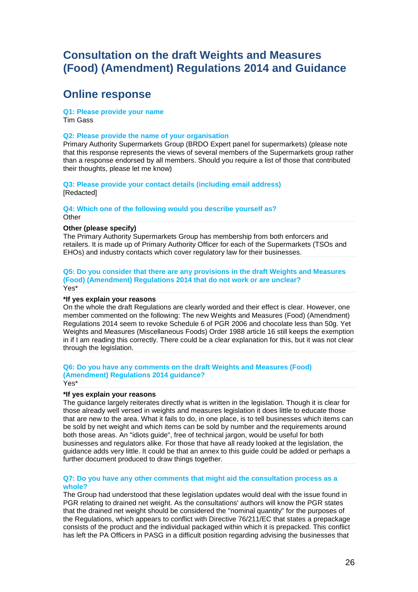# **Online response**

**Q1: Please provide your name** Tim Gass

#### **Q2: Please provide the name of your organisation**

Primary Authority Supermarkets Group (BRDO Expert panel for supermarkets) (please note that this response represents the views of several members of the Supermarkets group rather than a response endorsed by all members. Should you require a list of those that contributed their thoughts, please let me know)

**Q3: Please provide your contact details (including email address)** [Redacted]

**Q4: Which one of the following would you describe yourself as? Other** 

#### **Other (please specify)**

The Primary Authority Supermarkets Group has membership from both enforcers and retailers. It is made up of Primary Authority Officer for each of the Supermarkets (TSOs and EHOs) and industry contacts which cover regulatory law for their businesses.

#### **Q5: Do you consider that there are any provisions in the draft Weights and Measures (Food) (Amendment) Regulations 2014 that do not work or are unclear?** Yes\*

#### **\*If yes explain your reasons**

On the whole the draft Regulations are clearly worded and their effect is clear. However, one member commented on the following: The new Weights and Measures (Food) (Amendment) Regulations 2014 seem to revoke Schedule 6 of PGR 2006 and chocolate less than 50g. Yet Weights and Measures (Miscellaneous Foods) Order 1988 article 16 still keeps the exemption in if I am reading this correctly. There could be a clear explanation for this, but it was not clear through the legislation.

#### **Q6: Do you have any comments on the draft Weights and Measures (Food) (Amendment) Regulations 2014 guidance?** Yes\*

#### **\*If yes explain your reasons**

The guidance largely reiterates directly what is written in the legislation. Though it is clear for those already well versed in weights and measures legislation it does little to educate those that are new to the area. What it fails to do, in one place, is to tell businesses which items can be sold by net weight and which items can be sold by number and the requirements around both those areas. An "idiots guide", free of technical jargon, would be useful for both businesses and regulators alike. For those that have all ready looked at the legislation, the guidance adds very little. It could be that an annex to this guide could be added or perhaps a further document produced to draw things together.

#### **Q7: Do you have any other comments that might aid the consultation process as a whole?**

The Group had understood that these legislation updates would deal with the issue found in PGR relating to drained net weight. As the consultations' authors will know the PGR states that the drained net weight should be considered the "nominal quantity" for the purposes of the Regulations, which appears to conflict with Directive 76/211/EC that states a prepackage consists of the product and the individual packaged within which it is prepacked. This conflict has left the PA Officers in PASG in a difficult position regarding advising the businesses that